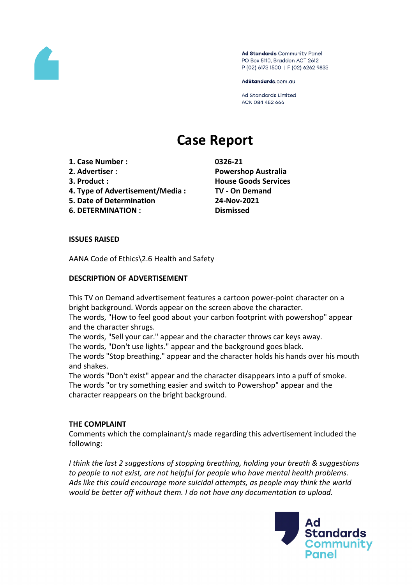

Ad Standards Community Panel PO Box 5110, Braddon ACT 2612 P (02) 6173 1500 | F (02) 6262 9833

AdStandards.com.au

**Ad Standards Limited** ACN 084 452 666

# **Case Report**

- **1. Case Number : 0326-21**
- 
- 
- **4. Type of Advertisement/Media : TV - On Demand**
- **5. Date of Determination 24-Nov-2021**
- **6. DETERMINATION : Dismissed**

**2. Advertiser : Powershop Australia 3. Product : House Goods Services**

# **ISSUES RAISED**

AANA Code of Ethics\2.6 Health and Safety

# **DESCRIPTION OF ADVERTISEMENT**

This TV on Demand advertisement features a cartoon power-point character on a bright background. Words appear on the screen above the character.

The words, "How to feel good about your carbon footprint with powershop" appear and the character shrugs.

The words, "Sell your car." appear and the character throws car keys away.

The words, "Don't use lights." appear and the background goes black.

The words "Stop breathing." appear and the character holds his hands over his mouth and shakes.

The words "Don't exist" appear and the character disappears into a puff of smoke. The words "or try something easier and switch to Powershop" appear and the character reappears on the bright background.

# **THE COMPLAINT**

Comments which the complainant/s made regarding this advertisement included the following:

*I think the last 2 suggestions of stopping breathing, holding your breath & suggestions to people to not exist, are not helpful for people who have mental health problems. Ads like this could encourage more suicidal attempts, as people may think the world would be better off without them. I do not have any documentation to upload.*

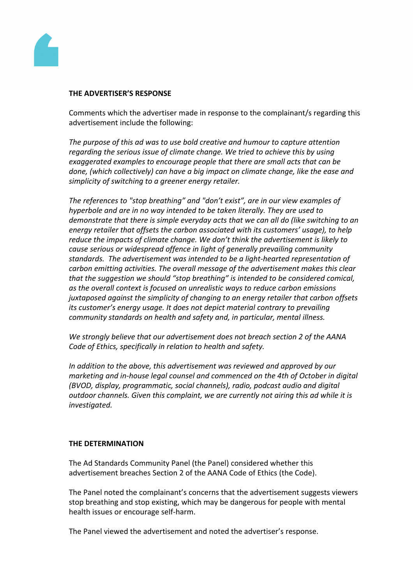

#### **THE ADVERTISER'S RESPONSE**

Comments which the advertiser made in response to the complainant/s regarding this advertisement include the following:

*The purpose of this ad was to use bold creative and humour to capture attention regarding the serious issue of climate change. We tried to achieve this by using exaggerated examples to encourage people that there are small acts that can be done, (which collectively) can have a big impact on climate change, like the ease and simplicity of switching to a greener energy retailer.*

*The references to "stop breathing" and "don't exist", are in our view examples of hyperbole and are in no way intended to be taken literally. They are used to demonstrate that there is simple everyday acts that we can all do (like switching to an energy retailer that offsets the carbon associated with its customers' usage), to help reduce the impacts of climate change. We don't think the advertisement is likely to cause serious or widespread offence in light of generally prevailing community standards. The advertisement was intended to be a light-hearted representation of carbon emitting activities. The overall message of the advertisement makes this clear that the suggestion we should "stop breathing" is intended to be considered comical, as the overall context is focused on unrealistic ways to reduce carbon emissions juxtaposed against the simplicity of changing to an energy retailer that carbon offsets its customer's energy usage. It does not depict material contrary to prevailing community standards on health and safety and, in particular, mental illness.*

*We strongly believe that our advertisement does not breach section 2 of the AANA Code of Ethics, specifically in relation to health and safety.*

*In addition to the above, this advertisement was reviewed and approved by our marketing and in-house legal counsel and commenced on the 4th of October in digital (BVOD, display, programmatic, social channels), radio, podcast audio and digital outdoor channels. Given this complaint, we are currently not airing this ad while it is investigated.*

# **THE DETERMINATION**

The Ad Standards Community Panel (the Panel) considered whether this advertisement breaches Section 2 of the AANA Code of Ethics (the Code).

The Panel noted the complainant's concerns that the advertisement suggests viewers stop breathing and stop existing, which may be dangerous for people with mental health issues or encourage self-harm.

The Panel viewed the advertisement and noted the advertiser's response.